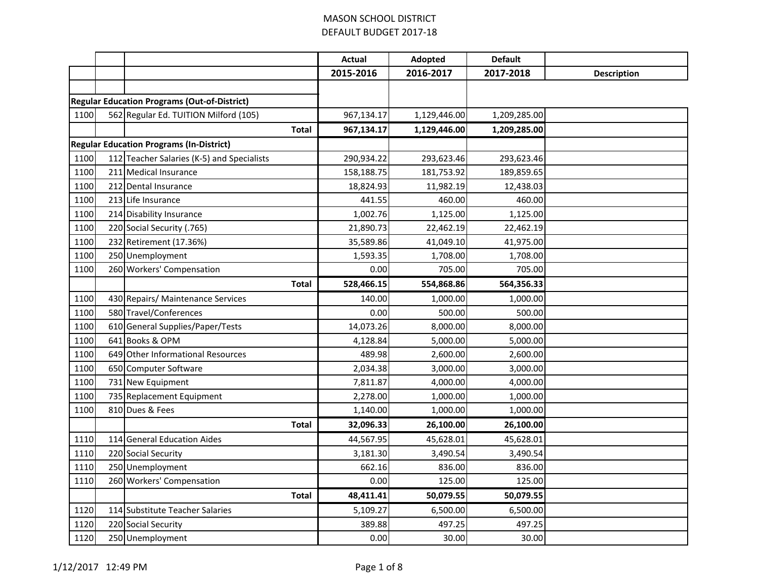|      |                                                     | <b>Actual</b> | Adopted      | <b>Default</b> |                    |
|------|-----------------------------------------------------|---------------|--------------|----------------|--------------------|
|      |                                                     | 2015-2016     | 2016-2017    | 2017-2018      | <b>Description</b> |
|      |                                                     |               |              |                |                    |
|      | <b>Regular Education Programs (Out-of-District)</b> |               |              |                |                    |
| 1100 | 562 Regular Ed. TUITION Milford (105)               | 967,134.17    | 1,129,446.00 | 1,209,285.00   |                    |
|      | <b>Total</b>                                        | 967,134.17    | 1,129,446.00 | 1,209,285.00   |                    |
|      | <b>Regular Education Programs (In-District)</b>     |               |              |                |                    |
| 1100 | 112 Teacher Salaries (K-5) and Specialists          | 290,934.22    | 293,623.46   | 293,623.46     |                    |
| 1100 | 211 Medical Insurance                               | 158,188.75    | 181,753.92   | 189,859.65     |                    |
| 1100 | 212 Dental Insurance                                | 18,824.93     | 11,982.19    | 12,438.03      |                    |
| 1100 | 213 Life Insurance                                  | 441.55        | 460.00       | 460.00         |                    |
| 1100 | 214 Disability Insurance                            | 1,002.76      | 1,125.00     | 1,125.00       |                    |
| 1100 | 220 Social Security (.765)                          | 21,890.73     | 22,462.19    | 22,462.19      |                    |
| 1100 | 232 Retirement (17.36%)                             | 35,589.86     | 41,049.10    | 41,975.00      |                    |
| 1100 | 250 Unemployment                                    | 1,593.35      | 1,708.00     | 1,708.00       |                    |
| 1100 | 260 Workers' Compensation                           | 0.00          | 705.00       | 705.00         |                    |
|      | Total                                               | 528,466.15    | 554,868.86   | 564,356.33     |                    |
| 1100 | 430 Repairs/ Maintenance Services                   | 140.00        | 1,000.00     | 1,000.00       |                    |
| 1100 | 580 Travel/Conferences                              | 0.00          | 500.00       | 500.00         |                    |
| 1100 | 610 General Supplies/Paper/Tests                    | 14,073.26     | 8,000.00     | 8,000.00       |                    |
| 1100 | 641 Books & OPM                                     | 4,128.84      | 5,000.00     | 5,000.00       |                    |
| 1100 | 649 Other Informational Resources                   | 489.98        | 2,600.00     | 2,600.00       |                    |
| 1100 | 650 Computer Software                               | 2,034.38      | 3,000.00     | 3,000.00       |                    |
| 1100 | 731 New Equipment                                   | 7,811.87      | 4,000.00     | 4,000.00       |                    |
| 1100 | 735 Replacement Equipment                           | 2,278.00      | 1,000.00     | 1,000.00       |                    |
| 1100 | 810 Dues & Fees                                     | 1,140.00      | 1,000.00     | 1,000.00       |                    |
|      | <b>Total</b>                                        | 32,096.33     | 26,100.00    | 26,100.00      |                    |
| 1110 | 114 General Education Aides                         | 44,567.95     | 45,628.01    | 45,628.01      |                    |
| 1110 | 220 Social Security                                 | 3,181.30      | 3,490.54     | 3,490.54       |                    |
| 1110 | 250 Unemployment                                    | 662.16        | 836.00       | 836.00         |                    |
| 1110 | 260 Workers' Compensation                           | 0.00          | 125.00       | 125.00         |                    |
|      | Total                                               | 48,411.41     | 50,079.55    | 50,079.55      |                    |
| 1120 | 114 Substitute Teacher Salaries                     | 5,109.27      | 6,500.00     | 6,500.00       |                    |
| 1120 | 220 Social Security                                 | 389.88        | 497.25       | 497.25         |                    |
| 1120 | 250 Unemployment                                    | 0.00          | 30.00        | 30.00          |                    |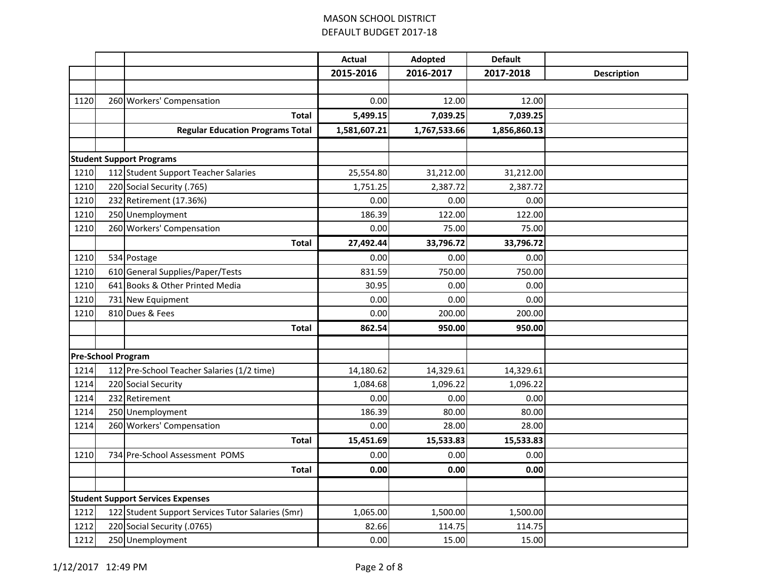|                                          |                           |                                                   | <b>Actual</b> | Adopted      | <b>Default</b> |                    |
|------------------------------------------|---------------------------|---------------------------------------------------|---------------|--------------|----------------|--------------------|
|                                          |                           |                                                   | 2015-2016     | 2016-2017    | 2017-2018      | <b>Description</b> |
|                                          |                           |                                                   |               |              |                |                    |
| 1120                                     |                           | 260 Workers' Compensation                         | 0.00          | 12.00        | 12.00          |                    |
|                                          |                           | Total                                             | 5,499.15      | 7,039.25     | 7,039.25       |                    |
|                                          |                           | <b>Regular Education Programs Total</b>           | 1,581,607.21  | 1,767,533.66 | 1,856,860.13   |                    |
|                                          |                           |                                                   |               |              |                |                    |
|                                          |                           | <b>Student Support Programs</b>                   |               |              |                |                    |
| 1210                                     |                           | 112 Student Support Teacher Salaries              | 25,554.80     | 31,212.00    | 31,212.00      |                    |
| 1210                                     |                           | 220 Social Security (.765)                        | 1,751.25      | 2,387.72     | 2,387.72       |                    |
| 1210                                     |                           | 232 Retirement (17.36%)                           | 0.00          | 0.00         | 0.00           |                    |
| 1210                                     |                           | 250 Unemployment                                  | 186.39        | 122.00       | 122.00         |                    |
| 1210                                     |                           | 260 Workers' Compensation                         | 0.00          | 75.00        | 75.00          |                    |
|                                          |                           | <b>Total</b>                                      | 27,492.44     | 33,796.72    | 33,796.72      |                    |
| 1210                                     |                           | 534 Postage                                       | 0.00          | 0.00         | 0.00           |                    |
| 1210                                     |                           | 610 General Supplies/Paper/Tests                  | 831.59        | 750.00       | 750.00         |                    |
| 1210                                     | 641                       | Books & Other Printed Media                       | 30.95         | 0.00         | 0.00           |                    |
| 1210                                     | 731                       | New Equipment                                     | 0.00          | 0.00         | 0.00           |                    |
| 1210                                     |                           | 810 Dues & Fees                                   | 0.00          | 200.00       | 200.00         |                    |
|                                          |                           | <b>Total</b>                                      | 862.54        | 950.00       | 950.00         |                    |
|                                          |                           |                                                   |               |              |                |                    |
|                                          | <b>Pre-School Program</b> |                                                   |               |              |                |                    |
| 1214                                     |                           | 112 Pre-School Teacher Salaries (1/2 time)        | 14,180.62     | 14,329.61    | 14,329.61      |                    |
| 1214                                     |                           | 220 Social Security                               | 1,084.68      | 1,096.22     | 1,096.22       |                    |
| 1214                                     |                           | 232 Retirement                                    | 0.00          | 0.00         | 0.00           |                    |
| 1214                                     |                           | 250 Unemployment                                  | 186.39        | 80.00        | 80.00          |                    |
| 1214                                     |                           | 260 Workers' Compensation                         | 0.00          | 28.00        | 28.00          |                    |
|                                          |                           | <b>Total</b>                                      | 15,451.69     | 15,533.83    | 15,533.83      |                    |
| 1210                                     |                           | 734 Pre-School Assessment POMS                    | 0.00          | 0.00         | 0.00           |                    |
|                                          |                           | <b>Total</b>                                      | 0.00          | 0.00         | 0.00           |                    |
|                                          |                           |                                                   |               |              |                |                    |
| <b>Student Support Services Expenses</b> |                           |                                                   |               |              |                |                    |
| 1212                                     |                           | 122 Student Support Services Tutor Salaries (Smr) | 1,065.00      | 1,500.00     | 1,500.00       |                    |
| 1212                                     |                           | 220 Social Security (.0765)                       | 82.66         | 114.75       | 114.75         |                    |
| 1212                                     |                           | 250 Unemployment                                  | 0.00          | 15.00        | 15.00          |                    |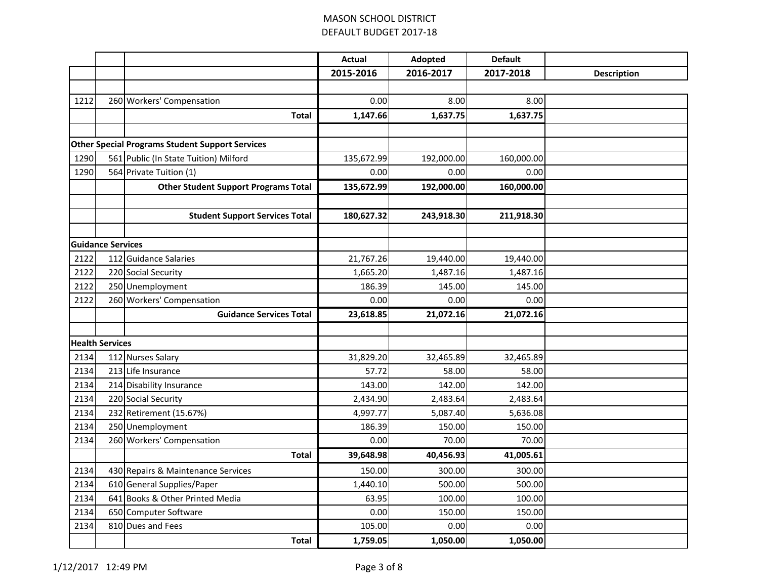|      |                          |                                                        | <b>Actual</b> | Adopted    | <b>Default</b> |                    |
|------|--------------------------|--------------------------------------------------------|---------------|------------|----------------|--------------------|
|      |                          |                                                        | 2015-2016     | 2016-2017  | 2017-2018      | <b>Description</b> |
|      |                          |                                                        |               |            |                |                    |
| 1212 |                          | 260 Workers' Compensation                              | 0.00          | 8.00       | 8.00           |                    |
|      |                          | <b>Total</b>                                           | 1,147.66      | 1,637.75   | 1,637.75       |                    |
|      |                          |                                                        |               |            |                |                    |
|      |                          | <b>Other Special Programs Student Support Services</b> |               |            |                |                    |
| 1290 |                          | 561 Public (In State Tuition) Milford                  | 135,672.99    | 192,000.00 | 160,000.00     |                    |
| 1290 |                          | 564 Private Tuition (1)                                | 0.00          | 0.00       | 0.00           |                    |
|      |                          | <b>Other Student Support Programs Total</b>            | 135,672.99    | 192,000.00 | 160,000.00     |                    |
|      |                          |                                                        |               |            |                |                    |
|      |                          | <b>Student Support Services Total</b>                  | 180,627.32    | 243,918.30 | 211,918.30     |                    |
|      |                          |                                                        |               |            |                |                    |
|      | <b>Guidance Services</b> |                                                        |               |            |                |                    |
| 2122 |                          | 112 Guidance Salaries                                  | 21,767.26     | 19,440.00  | 19,440.00      |                    |
| 2122 |                          | 220 Social Security                                    | 1,665.20      | 1,487.16   | 1,487.16       |                    |
| 2122 |                          | 250 Unemployment                                       | 186.39        | 145.00     | 145.00         |                    |
| 2122 |                          | 260 Workers' Compensation                              | 0.00          | 0.00       | 0.00           |                    |
|      |                          | <b>Guidance Services Total</b>                         | 23,618.85     | 21,072.16  | 21,072.16      |                    |
|      |                          |                                                        |               |            |                |                    |
|      | <b>Health Services</b>   |                                                        |               |            |                |                    |
| 2134 |                          | 112 Nurses Salary                                      | 31,829.20     | 32,465.89  | 32,465.89      |                    |
| 2134 |                          | 213 Life Insurance                                     | 57.72         | 58.00      | 58.00          |                    |
| 2134 |                          | 214 Disability Insurance                               | 143.00        | 142.00     | 142.00         |                    |
| 2134 |                          | 220 Social Security                                    | 2,434.90      | 2,483.64   | 2,483.64       |                    |
| 2134 |                          | 232 Retirement (15.67%)                                | 4,997.77      | 5,087.40   | 5,636.08       |                    |
| 2134 |                          | 250 Unemployment                                       | 186.39        | 150.00     | 150.00         |                    |
| 2134 |                          | 260 Workers' Compensation                              | 0.00          | 70.00      | 70.00          |                    |
|      |                          | <b>Total</b>                                           | 39,648.98     | 40,456.93  | 41,005.61      |                    |
| 2134 |                          | 430 Repairs & Maintenance Services                     | 150.00        | 300.00     | 300.00         |                    |
| 2134 |                          | 610 General Supplies/Paper                             | 1,440.10      | 500.00     | 500.00         |                    |
| 2134 |                          | 641 Books & Other Printed Media                        | 63.95         | 100.00     | 100.00         |                    |
| 2134 |                          | 650 Computer Software                                  | 0.00          | 150.00     | 150.00         |                    |
| 2134 |                          | 810 Dues and Fees                                      | 105.00        | 0.00       | 0.00           |                    |
|      |                          | <b>Total</b>                                           | 1,759.05      | 1,050.00   | 1,050.00       |                    |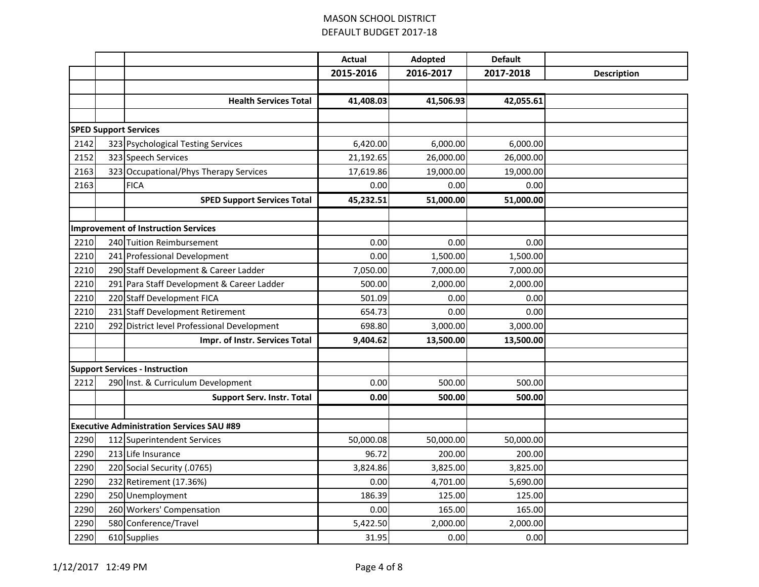|      |                                                  | <b>Actual</b> | Adopted   | <b>Default</b> |                    |
|------|--------------------------------------------------|---------------|-----------|----------------|--------------------|
|      |                                                  | 2015-2016     | 2016-2017 | 2017-2018      | <b>Description</b> |
|      |                                                  |               |           |                |                    |
|      | <b>Health Services Total</b>                     | 41,408.03     | 41,506.93 | 42,055.61      |                    |
|      |                                                  |               |           |                |                    |
|      | <b>SPED Support Services</b>                     |               |           |                |                    |
| 2142 | 323 Psychological Testing Services               | 6,420.00      | 6,000.00  | 6,000.00       |                    |
| 2152 | 323 Speech Services                              | 21,192.65     | 26,000.00 | 26,000.00      |                    |
| 2163 | 323 Occupational/Phys Therapy Services           | 17,619.86     | 19,000.00 | 19,000.00      |                    |
| 2163 | <b>FICA</b>                                      | 0.00          | 0.00      | 0.00           |                    |
|      | <b>SPED Support Services Total</b>               | 45,232.51     | 51,000.00 | 51,000.00      |                    |
|      |                                                  |               |           |                |                    |
|      | <b>Improvement of Instruction Services</b>       |               |           |                |                    |
| 2210 | 240 Tuition Reimbursement                        | 0.00          | 0.00      | 0.00           |                    |
| 2210 | 241 Professional Development                     | 0.00          | 1,500.00  | 1,500.00       |                    |
| 2210 | 290 Staff Development & Career Ladder            | 7,050.00      | 7,000.00  | 7,000.00       |                    |
| 2210 | 291 Para Staff Development & Career Ladder       | 500.00        | 2,000.00  | 2,000.00       |                    |
| 2210 | 220 Staff Development FICA                       | 501.09        | 0.00      | 0.00           |                    |
| 2210 | 231 Staff Development Retirement                 | 654.73        | 0.00      | 0.00           |                    |
| 2210 | 292 District level Professional Development      | 698.80        | 3,000.00  | 3,000.00       |                    |
|      | Impr. of Instr. Services Total                   | 9,404.62      | 13,500.00 | 13,500.00      |                    |
|      |                                                  |               |           |                |                    |
|      | <b>Support Services - Instruction</b>            |               |           |                |                    |
| 2212 | 290 Inst. & Curriculum Development               | 0.00          | 500.00    | 500.00         |                    |
|      | <b>Support Serv. Instr. Total</b>                | 0.00          | 500.00    | 500.00         |                    |
|      |                                                  |               |           |                |                    |
|      | <b>Executive Administration Services SAU #89</b> |               |           |                |                    |
| 2290 | 112 Superintendent Services                      | 50,000.08     | 50,000.00 | 50,000.00      |                    |
| 2290 | 213 Life Insurance                               | 96.72         | 200.00    | 200.00         |                    |
| 2290 | 220 Social Security (.0765)                      | 3,824.86      | 3,825.00  | 3,825.00       |                    |
| 2290 | 232 Retirement (17.36%)                          | 0.00          | 4,701.00  | 5,690.00       |                    |
| 2290 | 250 Unemployment                                 | 186.39        | 125.00    | 125.00         |                    |
| 2290 | 260 Workers' Compensation                        | 0.00          | 165.00    | 165.00         |                    |
| 2290 | 580 Conference/Travel                            | 5,422.50      | 2,000.00  | 2,000.00       |                    |
| 2290 | 610 Supplies                                     | 31.95         | 0.00      | 0.00           |                    |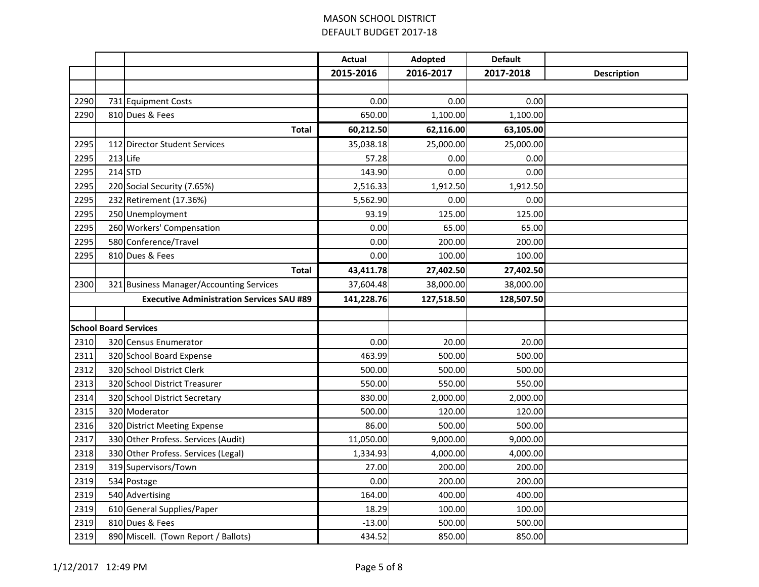|      |          |                                                  | <b>Actual</b> | Adopted    | <b>Default</b> |                    |
|------|----------|--------------------------------------------------|---------------|------------|----------------|--------------------|
|      |          |                                                  | 2015-2016     | 2016-2017  | 2017-2018      | <b>Description</b> |
|      |          |                                                  |               |            |                |                    |
| 2290 |          | 731 Equipment Costs                              | 0.00          | 0.00       | 0.00           |                    |
| 2290 |          | 810 Dues & Fees                                  | 650.00        | 1,100.00   | 1,100.00       |                    |
|      |          | <b>Total</b>                                     | 60,212.50     | 62,116.00  | 63,105.00      |                    |
| 2295 |          | 112 Director Student Services                    | 35,038.18     | 25,000.00  | 25,000.00      |                    |
| 2295 | 213 Life |                                                  | 57.28         | 0.00       | 0.00           |                    |
| 2295 |          | $214$ STD                                        | 143.90        | 0.00       | 0.00           |                    |
| 2295 |          | 220 Social Security (7.65%)                      | 2,516.33      | 1,912.50   | 1,912.50       |                    |
| 2295 |          | 232 Retirement (17.36%)                          | 5,562.90      | 0.00       | 0.00           |                    |
| 2295 |          | 250 Unemployment                                 | 93.19         | 125.00     | 125.00         |                    |
| 2295 |          | 260 Workers' Compensation                        | 0.00          | 65.00      | 65.00          |                    |
| 2295 |          | 580 Conference/Travel                            | 0.00          | 200.00     | 200.00         |                    |
| 2295 |          | 810 Dues & Fees                                  | 0.00          | 100.00     | 100.00         |                    |
|      |          | Total                                            | 43,411.78     | 27,402.50  | 27,402.50      |                    |
| 2300 |          | 321 Business Manager/Accounting Services         | 37,604.48     | 38,000.00  | 38,000.00      |                    |
|      |          | <b>Executive Administration Services SAU #89</b> | 141,228.76    | 127,518.50 | 128,507.50     |                    |
|      |          |                                                  |               |            |                |                    |
|      |          | <b>School Board Services</b>                     |               |            |                |                    |
| 2310 |          | 320 Census Enumerator                            | 0.00          | 20.00      | 20.00          |                    |
| 2311 |          | 320 School Board Expense                         | 463.99        | 500.00     | 500.00         |                    |
| 2312 |          | 320 School District Clerk                        | 500.00        | 500.00     | 500.00         |                    |
| 2313 |          | 320 School District Treasurer                    | 550.00        | 550.00     | 550.00         |                    |
| 2314 |          | 320 School District Secretary                    | 830.00        | 2,000.00   | 2,000.00       |                    |
| 2315 |          | 320 Moderator                                    | 500.00        | 120.00     | 120.00         |                    |
| 2316 |          | 320 District Meeting Expense                     | 86.00         | 500.00     | 500.00         |                    |
| 2317 |          | 330 Other Profess. Services (Audit)              | 11,050.00     | 9,000.00   | 9,000.00       |                    |
| 2318 |          | 330 Other Profess. Services (Legal)              | 1,334.93      | 4,000.00   | 4,000.00       |                    |
| 2319 |          | 319 Supervisors/Town                             | 27.00         | 200.00     | 200.00         |                    |
| 2319 |          | 534 Postage                                      | 0.00          | 200.00     | 200.00         |                    |
| 2319 |          | 540 Advertising                                  | 164.00        | 400.00     | 400.00         |                    |
| 2319 |          | 610 General Supplies/Paper                       | 18.29         | 100.00     | 100.00         |                    |
| 2319 |          | 810 Dues & Fees                                  | $-13.00$      | 500.00     | 500.00         |                    |
| 2319 |          | 890 Miscell. (Town Report / Ballots)             | 434.52        | 850.00     | 850.00         |                    |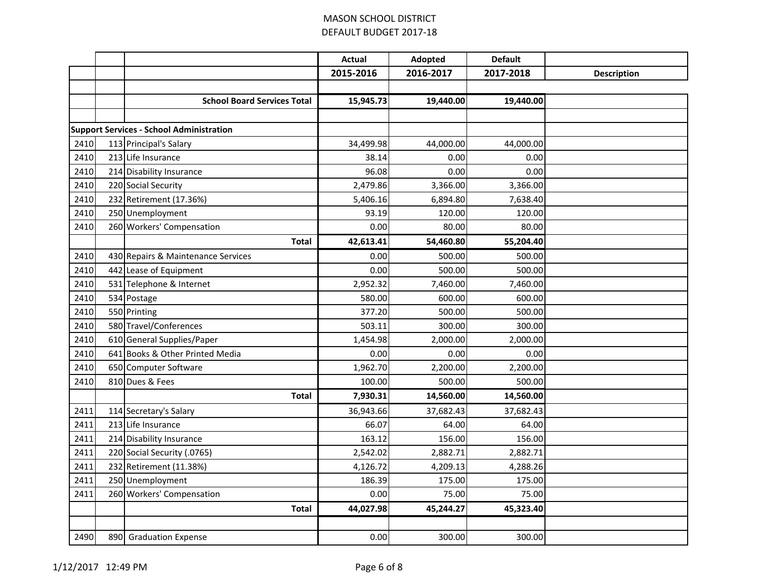|      |                                                 | <b>Actual</b> | Adopted   | <b>Default</b> |                    |
|------|-------------------------------------------------|---------------|-----------|----------------|--------------------|
|      |                                                 | 2015-2016     | 2016-2017 | 2017-2018      | <b>Description</b> |
|      |                                                 |               |           |                |                    |
|      | <b>School Board Services Total</b>              | 15,945.73     | 19,440.00 | 19,440.00      |                    |
|      |                                                 |               |           |                |                    |
|      | <b>Support Services - School Administration</b> |               |           |                |                    |
| 2410 | 113 Principal's Salary                          | 34,499.98     | 44,000.00 | 44,000.00      |                    |
| 2410 | 213 Life Insurance                              | 38.14         | 0.00      | 0.00           |                    |
| 2410 | 214 Disability Insurance                        | 96.08         | 0.00      | 0.00           |                    |
| 2410 | 220 Social Security                             | 2,479.86      | 3,366.00  | 3,366.00       |                    |
| 2410 | 232 Retirement (17.36%)                         | 5,406.16      | 6,894.80  | 7,638.40       |                    |
| 2410 | 250 Unemployment                                | 93.19         | 120.00    | 120.00         |                    |
| 2410 | 260 Workers' Compensation                       | 0.00          | 80.00     | 80.00          |                    |
|      | <b>Total</b>                                    | 42,613.41     | 54,460.80 | 55,204.40      |                    |
| 2410 | 430 Repairs & Maintenance Services              | 0.00          | 500.00    | 500.00         |                    |
| 2410 | 442 Lease of Equipment                          | 0.00          | 500.00    | 500.00         |                    |
| 2410 | 531 Telephone & Internet                        | 2,952.32      | 7,460.00  | 7,460.00       |                    |
| 2410 | 534 Postage                                     | 580.00        | 600.00    | 600.00         |                    |
| 2410 | 550 Printing                                    | 377.20        | 500.00    | 500.00         |                    |
| 2410 | 580 Travel/Conferences                          | 503.11        | 300.00    | 300.00         |                    |
| 2410 | 610 General Supplies/Paper                      | 1,454.98      | 2,000.00  | 2,000.00       |                    |
| 2410 | 641 Books & Other Printed Media                 | 0.00          | 0.00      | 0.00           |                    |
| 2410 | 650 Computer Software                           | 1,962.70      | 2,200.00  | 2,200.00       |                    |
| 2410 | 810 Dues & Fees                                 | 100.00        | 500.00    | 500.00         |                    |
|      | <b>Total</b>                                    | 7,930.31      | 14,560.00 | 14,560.00      |                    |
| 2411 | 114 Secretary's Salary                          | 36,943.66     | 37,682.43 | 37,682.43      |                    |
| 2411 | 213 Life Insurance                              | 66.07         | 64.00     | 64.00          |                    |
| 2411 | 214 Disability Insurance                        | 163.12        | 156.00    | 156.00         |                    |
| 2411 | 220 Social Security (.0765)                     | 2,542.02      | 2,882.71  | 2,882.71       |                    |
| 2411 | 232 Retirement (11.38%)                         | 4,126.72      | 4,209.13  | 4,288.26       |                    |
| 2411 | 250 Unemployment                                | 186.39        | 175.00    | 175.00         |                    |
| 2411 | 260 Workers' Compensation                       | 0.00          | 75.00     | 75.00          |                    |
|      | <b>Total</b>                                    | 44,027.98     | 45,244.27 | 45,323.40      |                    |
|      |                                                 |               |           |                |                    |
| 2490 | 890 Graduation Expense                          | 0.00          | 300.00    | 300.00         |                    |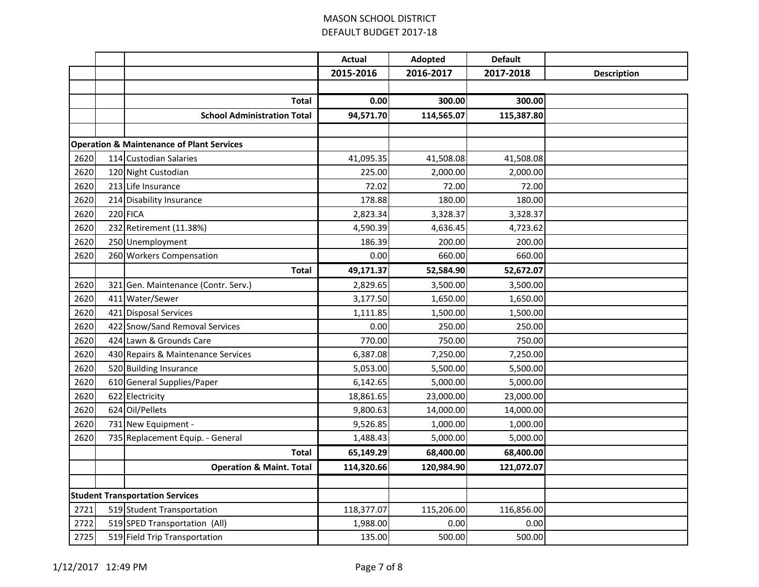|      |                                        |                                                      | <b>Actual</b> | Adopted    | <b>Default</b> |                    |
|------|----------------------------------------|------------------------------------------------------|---------------|------------|----------------|--------------------|
|      |                                        |                                                      | 2015-2016     | 2016-2017  | 2017-2018      | <b>Description</b> |
|      |                                        |                                                      |               |            |                |                    |
|      |                                        | <b>Total</b>                                         | 0.00          | 300.00     | 300.00         |                    |
|      |                                        | <b>School Administration Total</b>                   | 94,571.70     | 114,565.07 | 115,387.80     |                    |
|      |                                        |                                                      |               |            |                |                    |
|      |                                        | <b>Operation &amp; Maintenance of Plant Services</b> |               |            |                |                    |
| 2620 |                                        | 114 Custodian Salaries                               | 41,095.35     | 41,508.08  | 41,508.08      |                    |
| 2620 |                                        | 120 Night Custodian                                  | 225.00        | 2,000.00   | 2,000.00       |                    |
| 2620 |                                        | 213 Life Insurance                                   | 72.02         | 72.00      | 72.00          |                    |
| 2620 |                                        | 214 Disability Insurance                             | 178.88        | 180.00     | 180.00         |                    |
| 2620 |                                        | 220 FICA                                             | 2,823.34      | 3,328.37   | 3,328.37       |                    |
| 2620 |                                        | 232 Retirement (11.38%)                              | 4,590.39      | 4,636.45   | 4,723.62       |                    |
| 2620 |                                        | 250 Unemployment                                     | 186.39        | 200.00     | 200.00         |                    |
| 2620 |                                        | 260 Workers Compensation                             | 0.00          | 660.00     | 660.00         |                    |
|      |                                        | <b>Total</b>                                         | 49,171.37     | 52,584.90  | 52,672.07      |                    |
| 2620 | 321                                    | Gen. Maintenance (Contr. Serv.)                      | 2,829.65      | 3,500.00   | 3,500.00       |                    |
| 2620 |                                        | 411 Water/Sewer                                      | 3,177.50      | 1,650.00   | 1,650.00       |                    |
| 2620 |                                        | 421 Disposal Services                                | 1,111.85      | 1,500.00   | 1,500.00       |                    |
| 2620 | 422                                    | Snow/Sand Removal Services                           | 0.00          | 250.00     | 250.00         |                    |
| 2620 |                                        | 424 Lawn & Grounds Care                              | 770.00        | 750.00     | 750.00         |                    |
| 2620 |                                        | 430 Repairs & Maintenance Services                   | 6,387.08      | 7,250.00   | 7,250.00       |                    |
| 2620 |                                        | 520 Building Insurance                               | 5,053.00      | 5,500.00   | 5,500.00       |                    |
| 2620 |                                        | 610 General Supplies/Paper                           | 6,142.65      | 5,000.00   | 5,000.00       |                    |
| 2620 | 622                                    | Electricity                                          | 18,861.65     | 23,000.00  | 23,000.00      |                    |
| 2620 |                                        | 624 Oil/Pellets                                      | 9,800.63      | 14,000.00  | 14,000.00      |                    |
| 2620 |                                        | 731 New Equipment -                                  | 9,526.85      | 1,000.00   | 1,000.00       |                    |
| 2620 |                                        | 735 Replacement Equip. - General                     | 1,488.43      | 5,000.00   | 5,000.00       |                    |
|      |                                        | Total                                                | 65,149.29     | 68,400.00  | 68,400.00      |                    |
|      |                                        | <b>Operation &amp; Maint. Total</b>                  | 114,320.66    | 120,984.90 | 121,072.07     |                    |
|      |                                        |                                                      |               |            |                |                    |
|      | <b>Student Transportation Services</b> |                                                      |               |            |                |                    |
| 2721 |                                        | 519 Student Transportation                           | 118,377.07    | 115,206.00 | 116,856.00     |                    |
| 2722 |                                        | 519 SPED Transportation (All)                        | 1,988.00      | 0.00       | 0.00           |                    |
| 2725 |                                        | 519 Field Trip Transportation                        | 135.00        | 500.00     | 500.00         |                    |